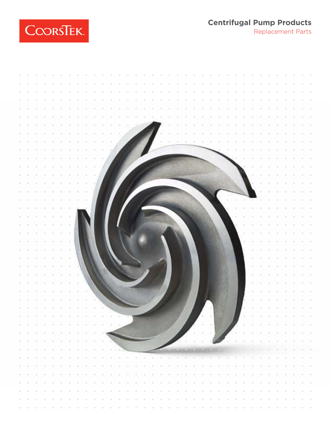**Centrifugal Pump Products** Replacement Parts